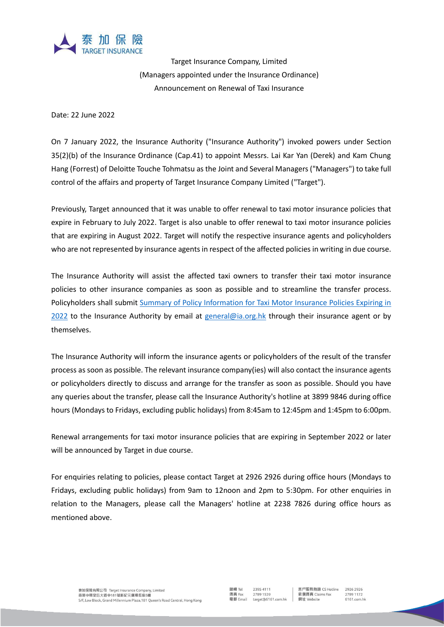

Target Insurance Company, Limited (Managers appointed under the Insurance Ordinance) Announcement on Renewal of Taxi Insurance

Date: 22 June 2022

On 7 January 2022, the Insurance Authority ("Insurance Authority") invoked powers under Section 35(2)(b) of the Insurance Ordinance (Cap.41) to appoint Messrs. Lai Kar Yan (Derek) and Kam Chung Hang (Forrest) of Deloitte Touche Tohmatsu as the Joint and Several Managers ("Managers") to take full control of the affairs and property of Target Insurance Company Limited ("Target").

Previously, Target announced that it was unable to offer renewal to taxi motor insurance policies that expire in February to July 2022. Target is also unable to offer renewal to taxi motor insurance policies that are expiring in August 2022. Target will notify the respective insurance agents and policyholders who are not represented by insurance agents in respect of the affected policies in writing in due course.

The Insurance Authority will assist the affected taxi owners to transfer their taxi motor insurance policies to other insurance companies as soon as possible and to streamline the transfer process. Policyholders shall submit [Summary of Policy Information for Taxi Motor Insurance Policies Expiring in](https://docs.google.com/spreadsheets/d/1cHGAaQVX97uWqCWFXMnNOrPe26EjVr6h/edit?usp=sharing&ouid=111271546918319081420&rtpof=true&sd=true)  [2022](https://docs.google.com/spreadsheets/d/1cHGAaQVX97uWqCWFXMnNOrPe26EjVr6h/edit?usp=sharing&ouid=111271546918319081420&rtpof=true&sd=true) to the Insurance Authority by email at [general@ia.org.hk](mailto:general@ia.org.hk) through their insurance agent or by themselves.

The Insurance Authority will inform the insurance agents or policyholders of the result of the transfer process as soon as possible. The relevant insurance company(ies) will also contact the insurance agents or policyholders directly to discuss and arrange for the transfer as soon as possible. Should you have any queries about the transfer, please call the Insurance Authority's hotline at 3899 9846 during office hours (Mondays to Fridays, excluding public holidays) from 8:45am to 12:45pm and 1:45pm to 6:00pm.

Renewal arrangements for taxi motor insurance policies that are expiring in September 2022 or later will be announced by Target in due course.

For enquiries relating to policies, please contact Target at 2926 2926 during office hours (Mondays to Fridays, excluding public holidays) from 9am to 12noon and 2pm to 5:30pm. For other enquiries in relation to the Managers, please call the Managers' hotline at 2238 7826 during office hours as mentioned above.

客戶服務熱線 CS Hotline 索償傳真 Claims Fax 網址 Website